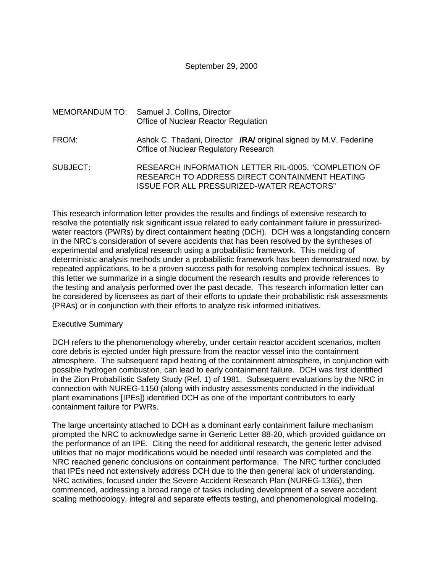September 29, 2000

|          | MEMORANDUM TO: Samuel J. Collins, Director<br>Office of Nuclear Reactor Regulation                                                                  |
|----------|-----------------------------------------------------------------------------------------------------------------------------------------------------|
| FROM:    | Ashok C. Thadani, Director <b>/RA/</b> original signed by M.V. Federline<br>Office of Nuclear Regulatory Research                                   |
| SUBJECT: | RESEARCH INFORMATION LETTER RIL-0005, "COMPLETION OF<br>RESEARCH TO ADDRESS DIRECT CONTAINMENT HEATING<br>ISSUE FOR ALL PRESSURIZED-WATER REACTORS" |

This research information letter provides the results and findings of extensive research to resolve the potentially risk significant issue related to early containment failure in pressurizedwater reactors (PWRs) by direct containment heating (DCH). DCH was a longstanding concern in the NRC's consideration of severe accidents that has been resolved by the syntheses of experimental and analytical research using a probabilistic framework. This melding of deterministic analysis methods under a probabilistic framework has been demonstrated now, by repeated applications, to be a proven success path for resolving complex technical issues. By this letter we summarize in a single document the research results and provide references to the testing and analysis performed over the past decade. This research information letter can be considered by licensees as part of their efforts to update their probabilistic risk assessments (PRAs) or in conjunction with their efforts to analyze risk informed initiatives.

#### Executive Summary

DCH refers to the phenomenology whereby, under certain reactor accident scenarios, molten core debris is ejected under high pressure from the reactor vessel into the containment atmosphere. The subsequent rapid heating of the containment atmosphere, in conjunction with possible hydrogen combustion, can lead to early containment failure. DCH was first identified in the Zion Probabilistic Safety Study (Ref. 1) of 1981. Subsequent evaluations by the NRC in connection with NUREG-1150 (along with industry assessments conducted in the individual plant examinations [IPEs]) identified DCH as one of the important contributors to early containment failure for PWRs.

The large uncertainty attached to DCH as a dominant early containment failure mechanism prompted the NRC to acknowledge same in Generic Letter 88-20, which provided guidance on the performance of an IPE. Citing the need for additional research, the generic letter advised utilities that no major modifications would be needed until research was completed and the NRC reached generic conclusions on containment performance. The NRC further concluded that IPEs need not extensively address DCH due to the then general lack of understanding. NRC activities, focused under the Severe Accident Research Plan (NUREG-1365), then commenced, addressing a broad range of tasks including development of a severe accident scaling methodology, integral and separate effects testing, and phenomenological modeling.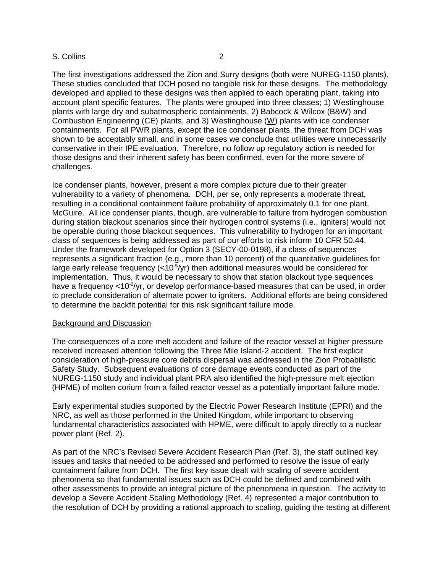The first investigations addressed the Zion and Surry designs (both were NUREG-1150 plants). These studies concluded that DCH posed no tangible risk for these designs. The methodology developed and applied to these designs was then applied to each operating plant, taking into account plant specific features. The plants were grouped into three classes; 1) Westinghouse plants with large dry and subatmospheric containments, 2) Babcock & Wilcox (B&W) and Combustion Engineering (CE) plants, and 3) Westinghouse (W) plants with ice condenser containments. For all PWR plants, except the ice condenser plants, the threat from DCH was shown to be acceptably small, and in some cases we conclude that utilities were unnecessarily conservative in their IPE evaluation. Therefore, no follow up regulatory action is needed for those designs and their inherent safety has been confirmed, even for the more severe of challenges.

Ice condenser plants, however, present a more complex picture due to their greater vulnerability to a variety of phenomena. DCH, per se, only represents a moderate threat, resulting in a conditional containment failure probability of approximately 0.1 for one plant, McGuire. All ice condenser plants, though, are vulnerable to failure from hydrogen combustion during station blackout scenarios since their hydrogen control systems (i.e., igniters) would not be operable during those blackout sequences. This vulnerability to hydrogen for an important class of sequences is being addressed as part of our efforts to risk inform 10 CFR 50.44. Under the framework developed for Option 3 (SECY-00-0198), if a class of sequences represents a significant fraction (e.g., more than 10 percent) of the quantitative guidelines for large early release frequency  $\left($  < 10<sup>-5</sup>/yr) then additional measures would be considered for implementation. Thus, it would be necessary to show that station blackout type sequences have a frequency  $< 10^{-6}/yr$ , or develop performance-based measures that can be used, in order to preclude consideration of alternate power to igniters. Additional efforts are being considered to determine the backfit potential for this risk significant failure mode.

### Background and Discussion

The consequences of a core melt accident and failure of the reactor vessel at higher pressure received increased attention following the Three Mile Island-2 accident. The first explicit consideration of high-pressure core debris dispersal was addressed in the Zion Probabilistic Safety Study. Subsequent evaluations of core damage events conducted as part of the NUREG-1150 study and individual plant PRA also identified the high-pressure melt ejection (HPME) of molten corium from a failed reactor vessel as a potentially important failure mode.

Early experimental studies supported by the Electric Power Research Institute (EPRI) and the NRC, as well as those performed in the United Kingdom, while important to observing fundamental characteristics associated with HPME, were difficult to apply directly to a nuclear power plant (Ref. 2).

As part of the NRC's Revised Severe Accident Research Plan (Ref. 3), the staff outlined key issues and tasks that needed to be addressed and performed to resolve the issue of early containment failure from DCH. The first key issue dealt with scaling of severe accident phenomena so that fundamental issues such as DCH could be defined and combined with other assessments to provide an integral picture of the phenomena in question. The activity to develop a Severe Accident Scaling Methodology (Ref. 4) represented a major contribution to the resolution of DCH by providing a rational approach to scaling, guiding the testing at different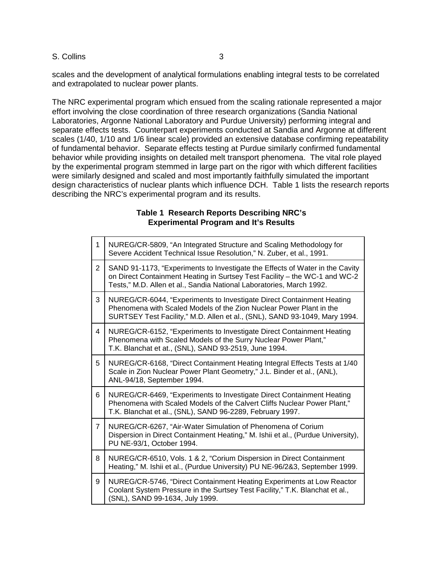scales and the development of analytical formulations enabling integral tests to be correlated and extrapolated to nuclear power plants.

The NRC experimental program which ensued from the scaling rationale represented a major effort involving the close coordination of three research organizations (Sandia National Laboratories, Argonne National Laboratory and Purdue University) performing integral and separate effects tests. Counterpart experiments conducted at Sandia and Argonne at different scales (1/40, 1/10 and 1/6 linear scale) provided an extensive database confirming repeatability of fundamental behavior. Separate effects testing at Purdue similarly confirmed fundamental behavior while providing insights on detailed melt transport phenomena. The vital role played by the experimental program stemmed in large part on the rigor with which different facilities were similarly designed and scaled and most importantly faithfully simulated the important design characteristics of nuclear plants which influence DCH. Table 1 lists the research reports describing the NRC's experimental program and its results.

## **Table 1 Research Reports Describing NRC's Experimental Program and It's Results**

| 1              | NUREG/CR-5809, "An Integrated Structure and Scaling Methodology for<br>Severe Accident Technical Issue Resolution," N. Zuber, et al., 1991.                                                                                        |
|----------------|------------------------------------------------------------------------------------------------------------------------------------------------------------------------------------------------------------------------------------|
| 2              | SAND 91-1173, "Experiments to Investigate the Effects of Water in the Cavity<br>on Direct Containment Heating in Surtsey Test Facility - the WC-1 and WC-2<br>Tests," M.D. Allen et al., Sandia National Laboratories, March 1992. |
| 3              | NUREG/CR-6044, "Experiments to Investigate Direct Containment Heating<br>Phenomena with Scaled Models of the Zion Nuclear Power Plant in the<br>SURTSEY Test Facility," M.D. Allen et al., (SNL), SAND 93-1049, Mary 1994.         |
| 4              | NUREG/CR-6152, "Experiments to Investigate Direct Containment Heating<br>Phenomena with Scaled Models of the Surry Nuclear Power Plant,"<br>T.K. Blanchat et at., (SNL), SAND 93-2519, June 1994.                                  |
| 5              | NUREG/CR-6168, "Direct Containment Heating Integral Effects Tests at 1/40<br>Scale in Zion Nuclear Power Plant Geometry," J.L. Binder et al., (ANL),<br>ANL-94/18, September 1994.                                                 |
| 6              | NUREG/CR-6469, "Experiments to Investigate Direct Containment Heating<br>Phenomena with Scaled Models of the Calvert Cliffs Nuclear Power Plant,"<br>T.K. Blanchat et al., (SNL), SAND 96-2289, February 1997.                     |
| $\overline{7}$ | NUREG/CR-6267, "Air-Water Simulation of Phenomena of Corium<br>Dispersion in Direct Containment Heating," M. Ishii et al., (Purdue University),<br>PU NE-93/1, October 1994.                                                       |
| 8              | NUREG/CR-6510, Vols. 1 & 2, "Corium Dispersion in Direct Containment<br>Heating," M. Ishii et al., (Purdue University) PU NE-96/2&3, September 1999.                                                                               |
| 9              | NUREG/CR-5746, "Direct Containment Heating Experiments at Low Reactor<br>Coolant System Pressure in the Surtsey Test Facility," T.K. Blanchat et al.,<br>(SNL), SAND 99-1634, July 1999.                                           |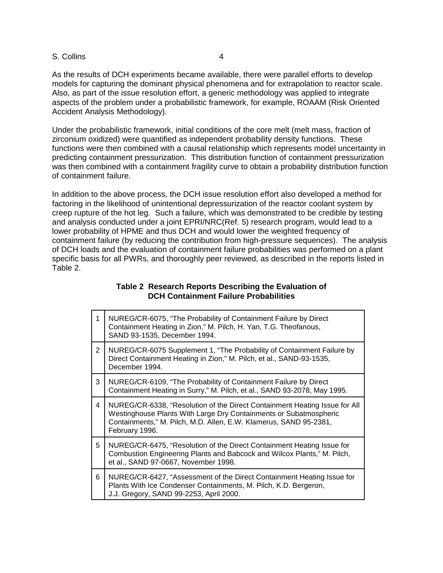As the results of DCH experiments became available, there were parallel efforts to develop models for capturing the dominant physical phenomena and for extrapolation to reactor scale. Also, as part of the issue resolution effort, a generic methodology was applied to integrate aspects of the problem under a probabilistic framework, for example, ROAAM (Risk Oriented Accident Analysis Methodology).

Under the probabilistic framework, initial conditions of the core melt (melt mass, fraction of zirconium oxidized) were quantified as independent probability density functions. These functions were then combined with a causal relationship which represents model uncertainty in predicting containment pressurization. This distribution function of containment pressurization was then combined with a containment fragility curve to obtain a probability distribution function of containment failure.

In addition to the above process, the DCH issue resolution effort also developed a method for factoring in the likelihood of unintentional depressurization of the reactor coolant system by creep rupture of the hot leg. Such a failure, which was demonstrated to be credible by testing and analysis conducted under a joint EPRI/NRC(Ref. 5) research program, would lead to a lower probability of HPME and thus DCH and would lower the weighted frequency of containment failure (by reducing the contribution from high-pressure sequences). The analysis of DCH loads and the evaluation of containment failure probabilities was performed on a plant specific basis for all PWRs, and thoroughly peer reviewed, as described in the reports listed in Table 2.

## **Table 2 Research Reports Describing the Evaluation of DCH Containment Failure Probabilities**

| 1              | NUREG/CR-6075, "The Probability of Containment Failure by Direct<br>Containment Heating in Zion," M. Pilch, H. Yan, T.G. Theofanous,<br>SAND 93-1535, December 1994.                                                                   |
|----------------|----------------------------------------------------------------------------------------------------------------------------------------------------------------------------------------------------------------------------------------|
| $\overline{2}$ | NUREG/CR-6075 Supplement 1, "The Probability of Containment Failure by<br>Direct Containment Heating in Zion," M. Pilch, et al., SAND-93-1535,<br>December 1994.                                                                       |
| 3              | NUREG/CR-6109, "The Probability of Containment Failure by Direct<br>Containment Heating in Surry," M. Pilch, et al., SAND 93-2078, May 1995.                                                                                           |
| 4              | NUREG/CR-6338, "Resolution of the Direct Containment Heating Issue for All<br>Westinghouse Plants With Large Dry Containments or Subatmospheric<br>Containments," M. Pilch, M.D. Allen, E.W. Klamerus, SAND 95-2381,<br>February 1996. |
| 5              | NUREG/CR-6475, "Resolution of the Direct Containment Heating Issue for<br>Combustion Engineering Plants and Babcock and Wilcox Plants," M. Pilch,<br>et al., SAND 97-0667, November 1998.                                              |
| 6              | NUREG/CR-6427, "Assessment of the Direct Containment Heating Issue for<br>Plants With Ice Condenser Containments, M. Pilch, K.D. Bergeron,<br>J.J. Gregory, SAND 99-2253, April 2000.                                                  |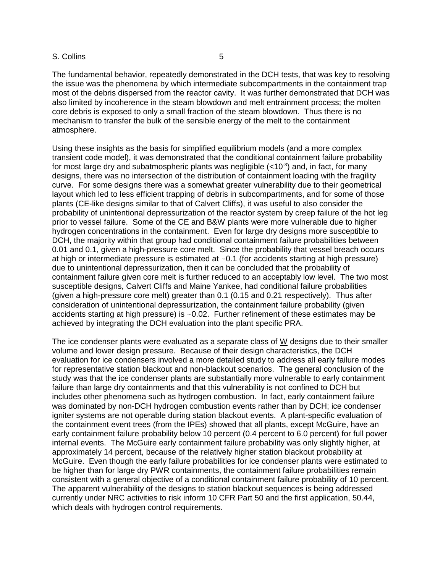The fundamental behavior, repeatedly demonstrated in the DCH tests, that was key to resolving the issue was the phenomena by which intermediate subcompartments in the containment trap most of the debris dispersed from the reactor cavity. It was further demonstrated that DCH was also limited by incoherence in the steam blowdown and melt entrainment process; the molten core debris is exposed to only a small fraction of the steam blowdown. Thus there is no mechanism to transfer the bulk of the sensible energy of the melt to the containment atmosphere.

Using these insights as the basis for simplified equilibrium models (and a more complex transient code model), it was demonstrated that the conditional containment failure probability for most large dry and subatmospheric plants was negligible  $(<10^{-3}$ ) and, in fact, for many designs, there was no intersection of the distribution of containment loading with the fragility curve. For some designs there was a somewhat greater vulnerability due to their geometrical layout which led to less efficient trapping of debris in subcompartments, and for some of those plants (CE-like designs similar to that of Calvert Cliffs), it was useful to also consider the probability of unintentional depressurization of the reactor system by creep failure of the hot leg prior to vessel failure. Some of the CE and B&W plants were more vulnerable due to higher hydrogen concentrations in the containment. Even for large dry designs more susceptible to DCH, the majority within that group had conditional containment failure probabilities between 0.01 and 0.1, given a high-pressure core melt. Since the probability that vessel breach occurs at high or intermediate pressure is estimated at  $\sim$  0.1 (for accidents starting at high pressure) due to unintentional depressurization, then it can be concluded that the probability of containment failure given core melt is further reduced to an acceptably low level. The two most susceptible designs, Calvert Cliffs and Maine Yankee, had conditional failure probabilities (given a high-pressure core melt) greater than 0.1 (0.15 and 0.21 respectively). Thus after consideration of unintentional depressurization, the containment failure probability (given accidents starting at high pressure) is  $\sim 0.02$ . Further refinement of these estimates may be achieved by integrating the DCH evaluation into the plant specific PRA.

The ice condenser plants were evaluated as a separate class of W designs due to their smaller volume and lower design pressure. Because of their design characteristics, the DCH evaluation for ice condensers involved a more detailed study to address all early failure modes for representative station blackout and non-blackout scenarios. The general conclusion of the study was that the ice condenser plants are substantially more vulnerable to early containment failure than large dry containments and that this vulnerability is not confined to DCH but includes other phenomena such as hydrogen combustion. In fact, early containment failure was dominated by non-DCH hydrogen combustion events rather than by DCH; ice condenser igniter systems are not operable during station blackout events. A plant-specific evaluation of the containment event trees (from the IPEs) showed that all plants, except McGuire, have an early containment failure probability below 10 percent (0.4 percent to 6.0 percent) for full power internal events. The McGuire early containment failure probability was only slightly higher, at approximately 14 percent, because of the relatively higher station blackout probability at McGuire. Even though the early failure probabilities for ice condenser plants were estimated to be higher than for large dry PWR containments, the containment failure probabilities remain consistent with a general objective of a conditional containment failure probability of 10 percent. The apparent vulnerability of the designs to station blackout sequences is being addressed currently under NRC activities to risk inform 10 CFR Part 50 and the first application, 50.44, which deals with hydrogen control requirements.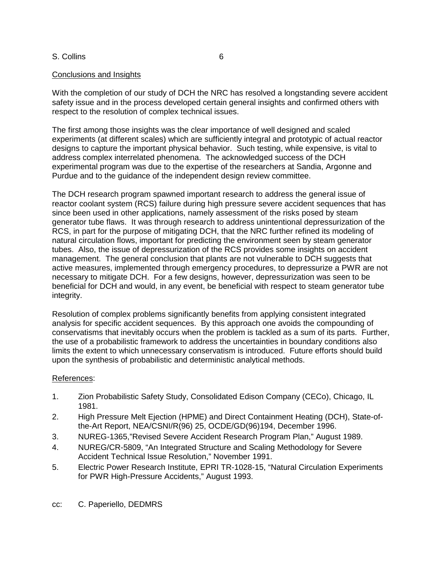## Conclusions and Insights

With the completion of our study of DCH the NRC has resolved a longstanding severe accident safety issue and in the process developed certain general insights and confirmed others with respect to the resolution of complex technical issues.

The first among those insights was the clear importance of well designed and scaled experiments (at different scales) which are sufficiently integral and prototypic of actual reactor designs to capture the important physical behavior. Such testing, while expensive, is vital to address complex interrelated phenomena. The acknowledged success of the DCH experimental program was due to the expertise of the researchers at Sandia, Argonne and Purdue and to the guidance of the independent design review committee.

The DCH research program spawned important research to address the general issue of reactor coolant system (RCS) failure during high pressure severe accident sequences that has since been used in other applications, namely assessment of the risks posed by steam generator tube flaws. It was through research to address unintentional depressurization of the RCS, in part for the purpose of mitigating DCH, that the NRC further refined its modeling of natural circulation flows, important for predicting the environment seen by steam generator tubes. Also, the issue of depressurization of the RCS provides some insights on accident management. The general conclusion that plants are not vulnerable to DCH suggests that active measures, implemented through emergency procedures, to depressurize a PWR are not necessary to mitigate DCH. For a few designs, however, depressurization was seen to be beneficial for DCH and would, in any event, be beneficial with respect to steam generator tube integrity.

Resolution of complex problems significantly benefits from applying consistent integrated analysis for specific accident sequences. By this approach one avoids the compounding of conservatisms that inevitably occurs when the problem is tackled as a sum of its parts. Further, the use of a probabilistic framework to address the uncertainties in boundary conditions also limits the extent to which unnecessary conservatism is introduced. Future efforts should build upon the synthesis of probabilistic and deterministic analytical methods.

## References:

- 1. Zion Probabilistic Safety Study, Consolidated Edison Company (CECo), Chicago, IL 1981.
- 2. High Pressure Melt Ejection (HPME) and Direct Containment Heating (DCH), State-ofthe-Art Report, NEA/CSNI/R(96) 25, OCDE/GD(96)194, December 1996.
- 3. NUREG-1365,"Revised Severe Accident Research Program Plan," August 1989.
- 4. NUREG/CR-5809, "An Integrated Structure and Scaling Methodology for Severe Accident Technical Issue Resolution," November 1991.
- 5. Electric Power Research Institute, EPRI TR-1028-15, "Natural Circulation Experiments for PWR High-Pressure Accidents," August 1993.
- cc: C. Paperiello, DEDMRS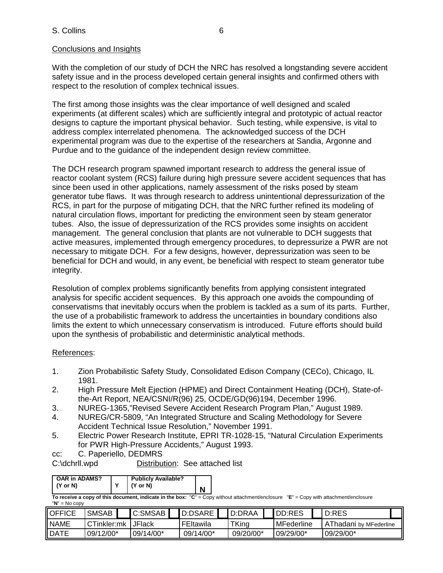## Conclusions and Insights

With the completion of our study of DCH the NRC has resolved a longstanding severe accident safety issue and in the process developed certain general insights and confirmed others with respect to the resolution of complex technical issues.

The first among those insights was the clear importance of well designed and scaled experiments (at different scales) which are sufficiently integral and prototypic of actual reactor designs to capture the important physical behavior. Such testing, while expensive, is vital to address complex interrelated phenomena. The acknowledged success of the DCH experimental program was due to the expertise of the researchers at Sandia, Argonne and Purdue and to the guidance of the independent design review committee.

The DCH research program spawned important research to address the general issue of reactor coolant system (RCS) failure during high pressure severe accident sequences that has since been used in other applications, namely assessment of the risks posed by steam generator tube flaws. It was through research to address unintentional depressurization of the RCS, in part for the purpose of mitigating DCH, that the NRC further refined its modeling of natural circulation flows, important for predicting the environment seen by steam generator tubes. Also, the issue of depressurization of the RCS provides some insights on accident management. The general conclusion that plants are not vulnerable to DCH suggests that active measures, implemented through emergency procedures, to depressurize a PWR are not necessary to mitigate DCH. For a few designs, however, depressurization was seen to be beneficial for DCH and would, in any event, be beneficial with respect to steam generator tube integrity.

Resolution of complex problems significantly benefits from applying consistent integrated analysis for specific accident sequences. By this approach one avoids the compounding of conservatisms that inevitably occurs when the problem is tackled as a sum of its parts. Further, the use of a probabilistic framework to address the uncertainties in boundary conditions also limits the extent to which unnecessary conservatism is introduced. Future efforts should build upon the synthesis of probabilistic and deterministic analytical methods.

# References:

- 1. Zion Probabilistic Safety Study, Consolidated Edison Company (CECo), Chicago, IL 1981.
- 2. High Pressure Melt Ejection (HPME) and Direct Containment Heating (DCH), State-ofthe-Art Report, NEA/CSNI/R(96) 25, OCDE/GD(96)194, December 1996.
- 3. NUREG-1365,"Revised Severe Accident Research Program Plan," August 1989.
- 4. NUREG/CR-5809, "An Integrated Structure and Scaling Methodology for Severe Accident Technical Issue Resolution," November 1991.
- 5. Electric Power Research Institute, EPRI TR-1028-15, "Natural Circulation Experiments for PWR High-Pressure Accidents," August 1993.
- cc: C. Paperiello, DEDMRS

C:\dchrll.wpd Distribution: See attached list

| <b>OAR in ADAMS?</b> | <b>Publicly Available?</b> |   |
|----------------------|----------------------------|---|
|                      |                            |   |
| (Y or N)             | $(Y \text{ or } N)$        | N |
|                      |                            |   |

**To receive a copy of this document, indicate in the box:** "**C**" = Copy without attachment/enclosure "**E**" = Copy with attachment/enclosure "**N**" = No copy

| <b>OFFICE</b>            | <b>SMSAB</b> |           | C:SMSAB       |           | D:DSARE   |           | D:DRAA |           | DD:RES     |           | D:RES                  |  |
|--------------------------|--------------|-----------|---------------|-----------|-----------|-----------|--------|-----------|------------|-----------|------------------------|--|
| <b>NAME</b>              | CTinkler:mk  |           | <b>JFlack</b> |           | FEItawila |           | TKing  |           | MFederline |           | AThadani by MFederline |  |
| <b>DATE</b><br>09/12/00* |              | 09/14/00* |               | 09/14/00* |           | 09/20/00* |        | 09/29/00* |            | 09/29/00* |                        |  |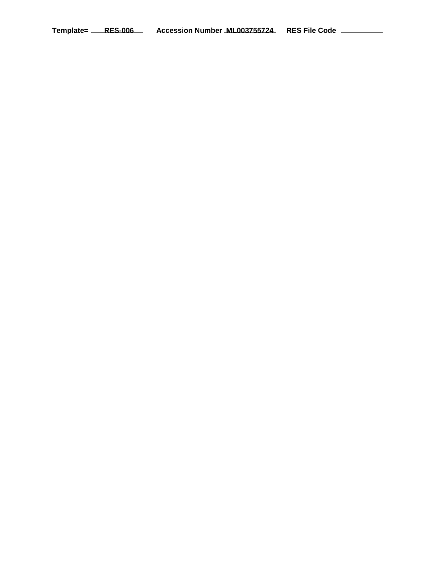Template= RES-006 Accession Number ML003755724 RES File Code \_\_\_\_\_\_\_\_